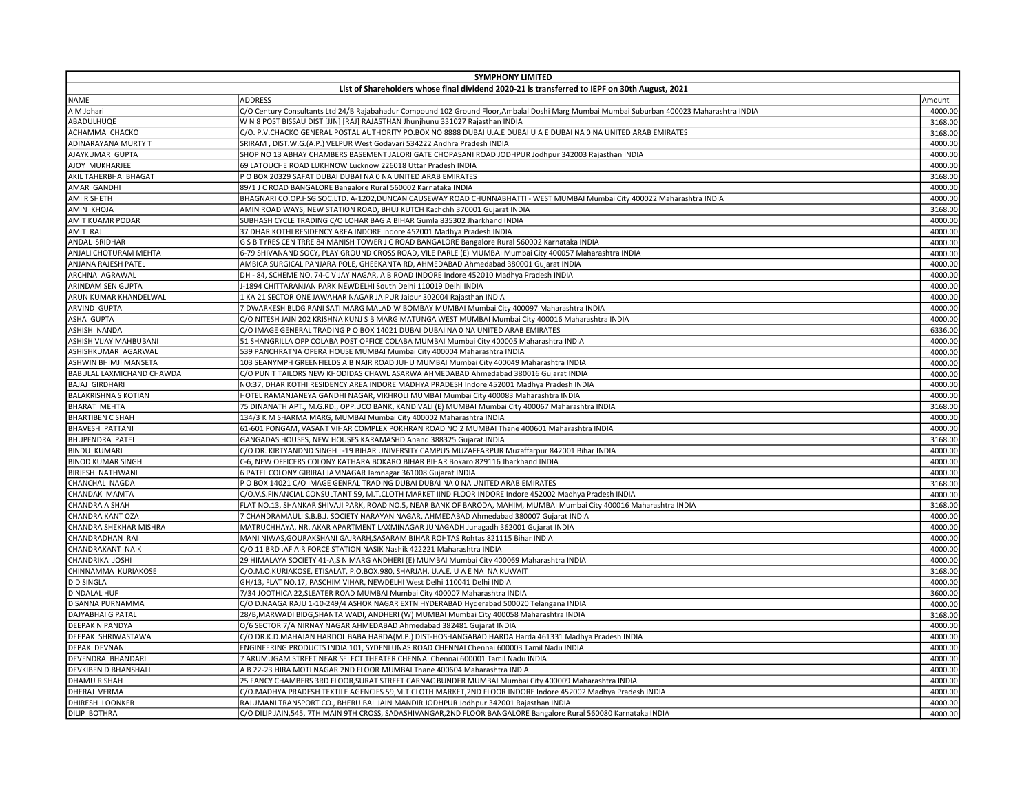| <b>SYMPHONY LIMITED</b>                                                                       |                                                                                                                                                                                  |         |  |
|-----------------------------------------------------------------------------------------------|----------------------------------------------------------------------------------------------------------------------------------------------------------------------------------|---------|--|
| List of Shareholders whose final dividend 2020-21 is transferred to IEPF on 30th August, 2021 |                                                                                                                                                                                  |         |  |
| <b>NAME</b>                                                                                   | <b>ADDRESS</b>                                                                                                                                                                   | Amount  |  |
| A M Johari                                                                                    | C/O Century Consultants Ltd 24/B Rajabahadur Compound 102 Ground Floor,Ambalal Doshi Marg Mumbai Mumbai Suburban 400023 Maharashtra INDIA                                        | 4000.00 |  |
| ABADULHUQE                                                                                    | W N 8 POST BISSAU DIST [JJN] [RAJ] RAJASTHAN Jhunjhunu 331027 Rajasthan INDIA                                                                                                    | 3168.00 |  |
| ACHAMMA CHACKO                                                                                | C/O. P.V.CHACKO GENERAL POSTAL AUTHORITY PO.BOX NO 8888 DUBAI U.A.E DUBAI U A E DUBAI NA 0 NA UNITED ARAB EMIRATES                                                               | 3168.00 |  |
| ADINARAYANA MURTY T                                                                           | SRIRAM, DIST.W.G.(A.P.) VELPUR West Godavari 534222 Andhra Pradesh INDIA                                                                                                         | 4000.00 |  |
| AJAYKUMAR GUPTA                                                                               | SHOP NO 13 ABHAY CHAMBERS BASEMENT JALORI GATE CHOPASANI ROAD JODHPUR Jodhpur 342003 Rajasthan INDIA                                                                             | 4000.00 |  |
| AJOY MUKHARJEE                                                                                | 69 LATOUCHE ROAD LUKHNOW Lucknow 226018 Uttar Pradesh INDIA                                                                                                                      | 4000.00 |  |
| AKIL TAHERBHAI BHAGAT                                                                         | P O BOX 20329 SAFAT DUBAI DUBAI NA 0 NA UNITED ARAB EMIRATES                                                                                                                     | 3168.00 |  |
| AMAR GANDHI                                                                                   | 89/1 J C ROAD BANGALORE Bangalore Rural 560002 Karnataka INDIA                                                                                                                   | 4000.00 |  |
| AMI R SHETH                                                                                   | BHAGNARI CO.OP.HSG.SOC.LTD. A-1202,DUNCAN CAUSEWAY ROAD CHUNNABHATTI - WEST MUMBAI Mumbai City 400022 Maharashtra INDIA                                                          | 4000.00 |  |
| AMIN KHOJA                                                                                    | AMIN ROAD WAYS, NEW STATION ROAD, BHUJ KUTCH Kachchh 370001 Gujarat INDIA                                                                                                        | 3168.00 |  |
| <b>AMIT KUAMR PODAR</b>                                                                       | SUBHASH CYCLE TRADING C/O LOHAR BAG A BIHAR Gumla 835302 Jharkhand INDIA                                                                                                         | 4000.00 |  |
| AMIT RAJ                                                                                      | 37 DHAR KOTHI RESIDENCY AREA INDORE Indore 452001 Madhya Pradesh INDIA                                                                                                           | 4000.00 |  |
| ANDAL SRIDHAR                                                                                 | G S B TYRES CEN TRRE 84 MANISH TOWER J C ROAD BANGALORE Bangalore Rural 560002 Karnataka INDIA                                                                                   | 4000.00 |  |
| ANJALI CHOTURAM MEHTA                                                                         | 6-79 SHIVANAND SOCY, PLAY GROUND CROSS ROAD, VILE PARLE (E) MUMBAI Mumbai City 400057 Maharashtra INDIA                                                                          | 4000.00 |  |
| ANJANA RAJESH PATEL                                                                           |                                                                                                                                                                                  | 4000.00 |  |
| ARCHNA AGRAWAL                                                                                | AMBICA SURGICAL PANJARA POLE, GHEEKANTA RD, AHMEDABAD Ahmedabad 380001 Gujarat INDIA<br>DH - 84, SCHEME NO. 74-C VIJAY NAGAR, A B ROAD INDORE Indore 452010 Madhya Pradesh INDIA | 4000.00 |  |
|                                                                                               |                                                                                                                                                                                  | 4000.00 |  |
| ARINDAM SEN GUPTA                                                                             | J-1894 CHITTARANJAN PARK NEWDELHI South Delhi 110019 Delhi INDIA                                                                                                                 | 4000.00 |  |
| ARUN KUMAR KHANDELWAL                                                                         | 1 KA 21 SECTOR ONE JAWAHAR NAGAR JAIPUR Jaipur 302004 Rajasthan INDIA                                                                                                            |         |  |
| ARVIND GUPTA                                                                                  | 7 DWARKESH BLDG RANI SATI MARG MALAD W BOMBAY MUMBAI Mumbai City 400097 Maharashtra INDIA                                                                                        | 4000.00 |  |
| ASHA GUPTA                                                                                    | C/O NITESH JAIN 202 KRISHNA KUNJ S B MARG MATUNGA WEST MUMBAI Mumbai City 400016 Maharashtra INDIA                                                                               | 4000.00 |  |
| ASHISH NANDA                                                                                  | C/O IMAGE GENERAL TRADING P O BOX 14021 DUBAI DUBAI NA 0 NA UNITED ARAB EMIRATES                                                                                                 | 6336.00 |  |
| ASHISH VIJAY MAHBUBANI                                                                        | 51 SHANGRILLA OPP COLABA POST OFFICE COLABA MUMBAI Mumbai City 400005 Maharashtra INDIA                                                                                          | 4000.00 |  |
| ASHISHKUMAR AGARWAL                                                                           | 539 PANCHRATNA OPERA HOUSE MUMBAI Mumbai City 400004 Maharashtra INDIA                                                                                                           | 4000.00 |  |
| ASHWIN BHIMJI MANSETA                                                                         | 103 SEANYMPH GREENFIELDS A B NAIR ROAD JUHU MUMBAI Mumbai City 400049 Maharashtra INDIA                                                                                          | 4000.00 |  |
| BABULAL LAXMICHAND CHAWDA                                                                     | C/O PUNIT TAILORS NEW KHODIDAS CHAWL ASARWA AHMEDABAD Ahmedabad 380016 Gujarat INDIA                                                                                             | 4000.00 |  |
| <b>BAJAJ GIRDHARI</b>                                                                         | NO:37, DHAR KOTHI RESIDENCY AREA INDORE MADHYA PRADESH Indore 452001 Madhya Pradesh INDIA                                                                                        | 4000.00 |  |
| <b>BALAKRISHNA S KOTIAN</b>                                                                   | HOTEL RAMANJANEYA GANDHI NAGAR, VIKHROLI MUMBAI Mumbai City 400083 Maharashtra INDIA                                                                                             | 4000.00 |  |
| <b>BHARAT MEHTA</b>                                                                           | 75 DINANATH APT., M.G.RD., OPP.UCO BANK, KANDIVALI (E) MUMBAI Mumbai City 400067 Maharashtra INDIA                                                                               | 3168.00 |  |
| <b>BHARTIBEN C SHAH</b>                                                                       | 134/3 K M SHARMA MARG, MUMBAI Mumbai City 400002 Maharashtra INDIA                                                                                                               | 4000.00 |  |
| <b>BHAVESH PATTANI</b>                                                                        | 61-601 PONGAM, VASANT VIHAR COMPLEX POKHRAN ROAD NO 2 MUMBAI Thane 400601 Maharashtra INDIA                                                                                      | 4000.00 |  |
| <b>BHUPENDRA PATEL</b>                                                                        | GANGADAS HOUSES, NEW HOUSES KARAMASHD Anand 388325 Gujarat INDIA                                                                                                                 | 3168.00 |  |
| <b>BINDU KUMARI</b>                                                                           | C/O DR. KIRTYANDND SINGH L-19 BIHAR UNIVERSITY CAMPUS MUZAFFARPUR Muzaffarpur 842001 Bihar INDIA                                                                                 | 4000.00 |  |
| <b>BINOD KUMAR SINGH</b>                                                                      | C-6, NEW OFFICERS COLONY KATHARA BOKARO BIHAR BIHAR Bokaro 829116 Jharkhand INDIA                                                                                                | 4000.00 |  |
| <b>BIRJESH NATHWANI</b>                                                                       | 6 PATEL COLONY GIRIRAJ JAMNAGAR Jamnagar 361008 Gujarat INDIA                                                                                                                    | 4000.00 |  |
| CHANCHAL NAGDA                                                                                | P O BOX 14021 C/O IMAGE GENRAL TRADING DUBAI DUBAI NA 0 NA UNITED ARAB EMIRATES                                                                                                  | 3168.00 |  |
| CHANDAK MAMTA                                                                                 | C/O.V.S.FINANCIAL CONSULTANT 59, M.T.CLOTH MARKET IIND FLOOR INDORE Indore 452002 Madhya Pradesh INDIA                                                                           | 4000.00 |  |
| CHANDRA A SHAH                                                                                | FLAT NO.13, SHANKAR SHIVAJI PARK, ROAD NO.5, NEAR BANK OF BARODA, MAHIM, MUMBAI Mumbai City 400016 Maharashtra INDIA                                                             | 3168.00 |  |
| CHANDRA KANT OZA                                                                              | 7 CHANDRAMAULI S.B.B.J. SOCIETY NARAYAN NAGAR, AHMEDABAD Ahmedabad 380007 Gujarat INDIA                                                                                          | 4000.00 |  |
| CHANDRA SHEKHAR MISHRA                                                                        | MATRUCHHAYA, NR. AKAR APARTMENT LAXMINAGAR JUNAGADH Junagadh 362001 Gujarat INDIA                                                                                                | 4000.00 |  |
| CHANDRADHAN RAI                                                                               | MANI NIWAS, GOURAKSHANI GAJRARH, SASARAM BIHAR ROHTAS Rohtas 821115 Bihar INDIA                                                                                                  | 4000.00 |  |
| CHANDRAKANT NAIK                                                                              | C/O 11 BRD , AF AIR FORCE STATION NASIK Nashik 422221 Maharashtra INDIA                                                                                                          | 4000.00 |  |
| CHANDRIKA JOSHI                                                                               | 29 HIMALAYA SOCIETY 41-A,S N MARG ANDHERI (E) MUMBAI Mumbai City 400069 Maharashtra INDIA                                                                                        | 4000.00 |  |
| CHINNAMMA KURIAKOSE                                                                           | C/O.M.O.KURIAKOSE, ETISALAT, P.O.BOX.980, SHARJAH, U.A.E. U A E NA NA KUWAIT                                                                                                     | 3168.00 |  |
| <b>D D SINGLA</b>                                                                             | GH/13, FLAT NO.17, PASCHIM VIHAR, NEWDELHI West Delhi 110041 Delhi INDIA                                                                                                         | 4000.00 |  |
| <b>D NDALAL HUF</b>                                                                           | 7/34 JOOTHICA 22, SLEATER ROAD MUMBAI Mumbai City 400007 Maharashtra INDIA                                                                                                       | 3600.00 |  |
| D SANNA PURNAMMA                                                                              | C/O D.NAAGA RAJU 1-10-249/4 ASHOK NAGAR EXTN HYDERABAD Hyderabad 500020 Telangana INDIA                                                                                          | 4000.00 |  |
| DAJYABHAI G PATAL                                                                             | 28/B, MARWADI BIDG, SHANTA WADI, ANDHERI (W) MUMBAI Mumbai City 400058 Maharashtra INDIA                                                                                         | 3168.00 |  |
| DEEPAK N PANDYA                                                                               | O/6 SECTOR 7/A NIRNAY NAGAR AHMEDABAD Ahmedabad 382481 Gujarat INDIA                                                                                                             | 4000.00 |  |
| DEEPAK SHRIWASTAWA                                                                            | C/O DR.K.D.MAHAJAN HARDOL BABA HARDA(M.P.) DIST-HOSHANGABAD HARDA Harda 461331 Madhya Pradesh INDIA                                                                              | 4000.00 |  |
| <b>DEPAK DEVNANI</b>                                                                          | ENGINEERING PRODUCTS INDIA 101, SYDENLUNAS ROAD CHENNAI Chennai 600003 Tamil Nadu INDIA                                                                                          | 4000.00 |  |
| DEVENDRA BHANDARI                                                                             | 7 ARUMUGAM STREET NEAR SELECT THEATER CHENNAI Chennai 600001 Tamil Nadu INDIA                                                                                                    | 4000.00 |  |
| DEVKIBEN D BHANSHALI                                                                          | A B 22-23 HIRA MOTI NAGAR 2ND FLOOR MUMBAI Thane 400604 Maharashtra INDIA                                                                                                        | 4000.00 |  |
| DHAMU R SHAH                                                                                  | 25 FANCY CHAMBERS 3RD FLOOR, SURAT STREET CARNAC BUNDER MUMBAI Mumbai City 400009 Maharashtra INDIA                                                                              | 4000.00 |  |
| <b>DHERAJ VERMA</b>                                                                           | C/O.MADHYA PRADESH TEXTILE AGENCIES 59, M.T.CLOTH MARKET, 2ND FLOOR INDORE Indore 452002 Madhya Pradesh INDIA                                                                    | 4000.00 |  |
| <b>DHIRESH LOONKER</b>                                                                        | RAJUMANI TRANSPORT CO., BHERU BAL JAIN MANDIR JODHPUR Jodhpur 342001 Rajasthan INDIA                                                                                             | 4000.00 |  |
| <b>DILIP BOTHRA</b>                                                                           | C/O DILIP JAIN,545, 7TH MAIN 9TH CROSS, SADASHIVANGAR,2ND FLOOR BANGALORE Bangalore Rural 560080 Karnataka INDIA                                                                 | 4000.00 |  |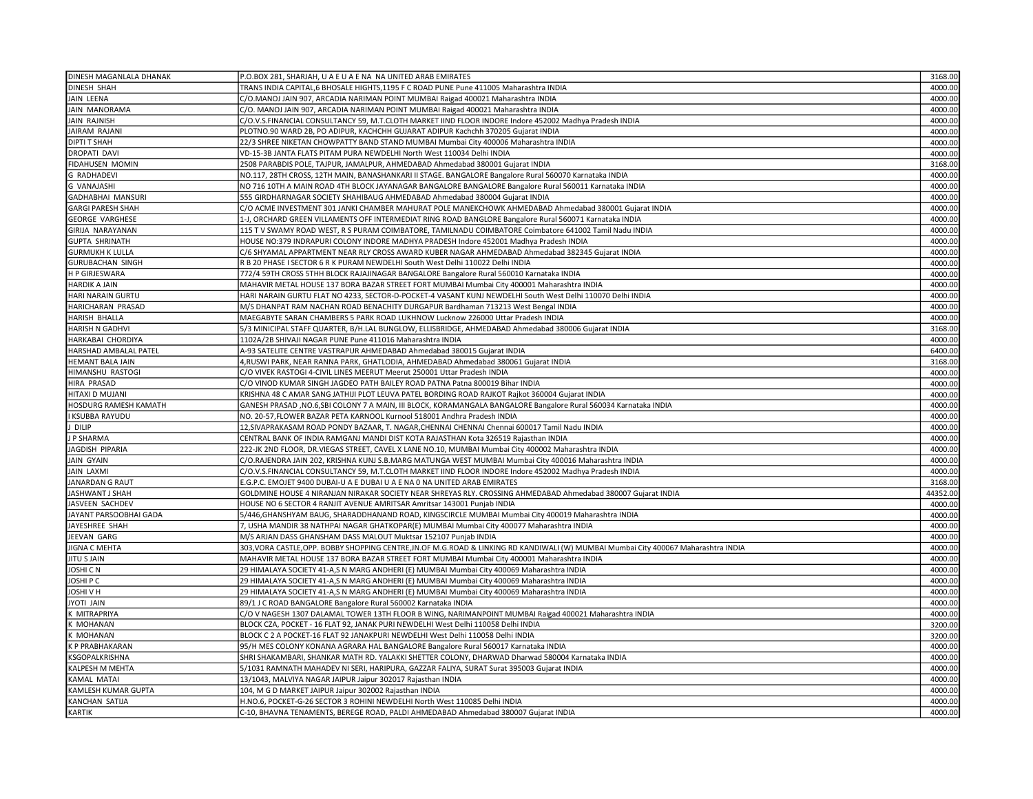| DINESH MAGANLALA DHANAK              | P.O.BOX 281, SHARJAH, U A E U A E NA NA UNITED ARAB EMIRATES                                                                           | 3168.00 |
|--------------------------------------|----------------------------------------------------------------------------------------------------------------------------------------|---------|
| <b>DINESH SHAH</b>                   | TRANS INDIA CAPITAL,6 BHOSALE HIGHTS,1195 F C ROAD PUNE Pune 411005 Maharashtra INDIA                                                  | 4000.00 |
| <b>JAIN LEENA</b>                    | C/O.MANOJ JAIN 907, ARCADIA NARIMAN POINT MUMBAI Raigad 400021 Maharashtra INDIA                                                       | 4000.00 |
| JAIN MANORAMA                        | C/O. MANOJ JAIN 907, ARCADIA NARIMAN POINT MUMBAI Raigad 400021 Maharashtra INDIA                                                      | 4000.00 |
| JAIN RAJNISH                         | C/O.V.S.FINANCIAL CONSULTANCY 59, M.T.CLOTH MARKET IIND FLOOR INDORE Indore 452002 Madhya Pradesh INDIA                                | 4000.0  |
| JAIRAM RAJANI                        | PLOTNO.90 WARD 2B, PO ADIPUR, KACHCHH GUJARAT ADIPUR Kachchh 370205 Gujarat INDIA                                                      | 4000.00 |
| <b>DIPTI T SHAH</b>                  | 22/3 SHREE NIKETAN CHOWPATTY BAND STAND MUMBAI Mumbai City 400006 Maharashtra INDIA                                                    | 4000.00 |
| <b>DROPATI DAVI</b>                  | VD-15-3B JANTA FLATS PITAM PURA NEWDELHI North West 110034 Delhi INDIA                                                                 | 4000.00 |
| FIDAHUSEN MOMIN                      | 2508 PARABDIS POLE, TAJPUR, JAMALPUR, AHMEDABAD Ahmedabad 380001 Gujarat INDIA                                                         | 3168.0  |
| <b>G RADHADEVI</b>                   | NO.117, 28TH CROSS, 12TH MAIN, BANASHANKARI II STAGE. BANGALORE Bangalore Rural 560070 Karnataka INDIA                                 | 4000.00 |
| <b>G VANAJASHI</b>                   | NO 716 10TH A MAIN ROAD 4TH BLOCK JAYANAGAR BANGALORE BANGALORE Bangalore Rural 560011 Karnataka INDIA                                 | 4000.00 |
| GADHABHAI MANSURI                    | 555 GIRDHARNAGAR SOCIETY SHAHIBAUG AHMEDABAD Ahmedabad 380004 Gujarat INDIA                                                            | 4000.0  |
| GARGI PARESH SHAH                    | C/O ACME INVESTMENT 301 JANKI CHAMBER MAHURAT POLE MANEKCHOWK AHMEDABAD Ahmedabad 380001 Gujarat INDIA                                 | 4000.00 |
| <b>GEORGE VARGHESE</b>               | 1-J, ORCHARD GREEN VILLAMENTS OFF INTERMEDIAT RING ROAD BANGLORE Bangalore Rural 560071 Karnataka INDIA                                | 4000.00 |
| GIRIJA NARAYANAN                     | 115 T V SWAMY ROAD WEST, R S PURAM COIMBATORE, TAMILNADU COIMBATORE Coimbatore 641002 Tamil Nadu INDIA                                 | 4000.00 |
| <b>GUPTA SHRINATH</b>                | HOUSE NO:379 INDRAPURI COLONY INDORE MADHYA PRADESH Indore 452001 Madhya Pradesh INDIA                                                 | 4000.0  |
| <b>GURMUKH K LULLA</b>               | C/6 SHYAMAL APPARTMENT NEAR RLY CROSS AWARD KUBER NAGAR AHMEDABAD Ahmedabad 382345 Gujarat INDIA                                       | 4000.00 |
| <b>GURUBACHAN SINGH</b>              | R B 20 PHASE I SECTOR 6 R K PURAM NEWDELHI South West Delhi 110022 Delhi INDIA                                                         | 4000.00 |
| <b>HP GIRJESWARA</b>                 | 772/4 59TH CROSS 5THH BLOCK RAJAJINAGAR BANGALORE Bangalore Rural 560010 Karnataka INDIA                                               | 4000.00 |
| <b>HARDIK A JAIN</b>                 | MAHAVIR METAL HOUSE 137 BORA BAZAR STREET FORT MUMBAI Mumbai City 400001 Maharashtra INDIA                                             | 4000.0  |
| HARI NARAIN GURTU                    | HARI NARAIN GURTU FLAT NO 4233, SECTOR-D-POCKET-4 VASANT KUNJ NEWDELHI South West Delhi 110070 Delhi INDIA                             | 4000.00 |
| HARICHARAN PRASAD                    | M/S DHANPAT RAM NACHAN ROAD BENACHITY DURGAPUR Bardhaman 713213 West Bengal INDIA                                                      | 4000.00 |
| <b>HARISH BHALLA</b>                 | MAEGABYTE SARAN CHAMBERS 5 PARK ROAD LUKHNOW Lucknow 226000 Uttar Pradesh INDIA                                                        | 4000.0  |
| <b>HARISH N GADHVI</b>               | 5/3 MINICIPAL STAFF QUARTER, B/H.LAL BUNGLOW, ELLISBRIDGE, AHMEDABAD Ahmedabad 380006 Gujarat INDIA                                    | 3168.00 |
| HARKABAI CHORDIYA                    | 1102A/2B SHIVAJI NAGAR PUNE Pune 411016 Maharashtra INDIA                                                                              | 4000.00 |
| HARSHAD AMBALAL PATEL                | 4-93 SATELITE CENTRE VASTRAPUR AHMEDABAD Ahmedabad 380015 Gujarat INDIA                                                                | 6400.00 |
|                                      |                                                                                                                                        | 3168.00 |
| HEMANT BALA JAIN<br>HIMANSHU RASTOGI | 4,RUSWI PARK, NEAR RANNA PARK, GHATLODIA, AHMEDABAD Ahmedabad 380061 Gujarat INDIA                                                     |         |
|                                      | C/O VIVEK RASTOGI 4-CIVIL LINES MEERUT Meerut 250001 Uttar Pradesh INDIA                                                               | 4000.00 |
| HIRA PRASAD                          | C/O VINOD KUMAR SINGH JAGDEO PATH BAILEY ROAD PATNA Patna 800019 Bihar INDIA                                                           | 4000.00 |
| HITAXI D MUJANI                      | KRISHNA 48 C AMAR SANG JATHIJI PLOT LEUVA PATEL BORDING ROAD RAJKOT Rajkot 360004 Gujarat INDIA                                        | 4000.00 |
| <b>HOSDURG RAMESH KAMATH</b>         | GANESH PRASAD ,NO.6,SBI COLONY 7 A MAIN, III BLOCK, KORAMANGALA BANGALORE Bangalore Rural 560034 Karnataka INDIA                       | 4000.0  |
| <b>KSUBBA RAYUDU</b>                 | NO. 20-57,FLOWER BAZAR PETA KARNOOL Kurnool 518001 Andhra Pradesh INDIA                                                                | 4000.00 |
| DILIP                                | 12, SIVAPRAKASAM ROAD PONDY BAZAAR, T. NAGAR, CHENNAI CHENNAI Chennai 600017 Tamil Nadu INDIA                                          | 4000.00 |
| P SHARMA                             | CENTRAL BANK OF INDIA RAMGANJ MANDI DIST KOTA RAJASTHAN Kota 326519 Rajasthan INDIA                                                    | 4000.00 |
| JAGDISH PIPARIA                      | 222-JK 2ND FLOOR, DR.VIEGAS STREET, CAVEL X LANE NO.10, MUMBAI Mumbai City 400002 Maharashtra INDIA                                    | 4000.0  |
| JAIN GYAIN                           | C/O.RAJENDRA JAIN 202, KRISHNA KUNJ S.B.MARG MATUNGA WEST MUMBAI Mumbai City 400016 Maharashtra INDIA                                  | 4000.0  |
| JAIN LAXMI                           | C/O.V.S.FINANCIAL CONSULTANCY 59, M.T.CLOTH MARKET IIND FLOOR INDORE Indore 452002 Madhya Pradesh INDIA                                | 4000.00 |
| <b>JANARDAN G RAUT</b>               | E.G.P.C. EMOJET 9400 DUBAI-U A E DUBAI U A E NA 0 NA UNITED ARAB EMIRATES                                                              | 3168.0  |
| JASHWANT J SHAH                      | GOLDMINE HOUSE 4 NIRANJAN NIRAKAR SOCIETY NEAR SHREYAS RLY. CROSSING AHMEDABAD Ahmedabad 380007 Gujarat INDIA                          | 44352.0 |
| JASVEEN SACHDEV                      | HOUSE NO 6 SECTOR 4 RANJIT AVENUE AMRITSAR Amritsar 143001 Punjab INDIA                                                                | 4000.00 |
| JAYANT PARSOOBHAI GADA               | 5/446,GHANSHYAM BAUG, SHARADDHANAND ROAD, KINGSCIRCLE MUMBAI Mumbai City 400019 Maharashtra INDIA                                      | 4000.00 |
| JAYESHREE SHAH                       | 7, USHA MANDIR 38 NATHPAI NAGAR GHATKOPAR(E) MUMBAI Mumbai City 400077 Maharashtra INDIA                                               | 4000.00 |
| JEEVAN GARG                          | M/S ARJAN DASS GHANSHAM DASS MALOUT Muktsar 152107 Punjab INDIA                                                                        | 4000.00 |
| JIGNA C MEHTA                        | 303, VORA CASTLE, OPP. BOBBY SHOPPING CENTRE, JN. OF M. G. ROAD & LINKING RD KANDIWALI (W) MUMBAI Mumbai City 400067 Maharashtra INDIA | 4000.00 |
| <b>JITU S JAIN</b>                   | MAHAVIR METAL HOUSE 137 BORA BAZAR STREET FORT MUMBAI Mumbai City 400001 Maharashtra INDIA                                             | 4000.00 |
| JOSHI C N                            | 29 HIMALAYA SOCIETY 41-A,S N MARG ANDHERI (E) MUMBAI Mumbai City 400069 Maharashtra INDIA                                              | 4000.0  |
| OSHI P C                             | 29 HIMALAYA SOCIETY 41-A,S N MARG ANDHERI (E) MUMBAI Mumbai City 400069 Maharashtra INDIA                                              | 4000.00 |
| IOSHI V H                            | 29 HIMALAYA SOCIETY 41-A,S N MARG ANDHERI (E) MUMBAI Mumbai City 400069 Maharashtra INDIA                                              | 4000.0  |
| <b>HIAL ITOYI</b>                    | 89/1 J C ROAD BANGALORE Bangalore Rural 560002 Karnataka INDIA                                                                         | 4000.00 |
| MITRAPRIYA                           | C/O V NAGESH 1307 DALAMAL TOWER 13TH FLOOR B WING, NARIMANPOINT MUMBAI Raigad 400021 Maharashtra INDIA                                 | 4000.00 |
| ( MOHANAN                            | BLOCK CZA, POCKET - 16 FLAT 92, JANAK PURI NEWDELHI West Delhi 110058 Delhi INDIA                                                      | 3200.00 |
| MOHANAN                              | BLOCK C 2 A POCKET-16 FLAT 92 JANAKPURI NEWDELHI West Delhi 110058 Delhi INDIA                                                         | 3200.00 |
| (P PRABHAKARAN                       | 95/H MES COLONY KONANA AGRARA HAL BANGALORE Bangalore Rural 560017 Karnataka INDIA                                                     | 4000.0  |
| <b>SGOPALKRISHNA</b>                 | SHRI SHAKAMBARI, SHANKAR MATH RD. YALAKKI SHETTER COLONY, DHARWAD Dharwad 580004 Karnataka INDIA                                       | 4000.00 |
| KALPESH M MEHTA                      | 5/1031 RAMNATH MAHADEV NI SERI, HARIPURA, GAZZAR FALIYA, SURAT Surat 395003 Gujarat INDIA                                              | 4000.00 |
| AMAL MATAI                           | 13/1043, MALVIYA NAGAR JAIPUR Jaipur 302017 Rajasthan INDIA                                                                            | 4000.00 |
| <b>KAMLESH KUMAR GUPTA</b>           | 104, M G D MARKET JAIPUR Jaipur 302002 Rajasthan INDIA                                                                                 | 4000.00 |
| KANCHAN SATIJA                       | H.NO.6, POCKET-G-26 SECTOR 3 ROHINI NEWDELHI North West 110085 Delhi INDIA                                                             | 4000.00 |
| KARTIK                               | C-10, BHAVNA TENAMENTS, BEREGE ROAD, PALDI AHMEDABAD Ahmedabad 380007 Gujarat INDIA                                                    | 4000.00 |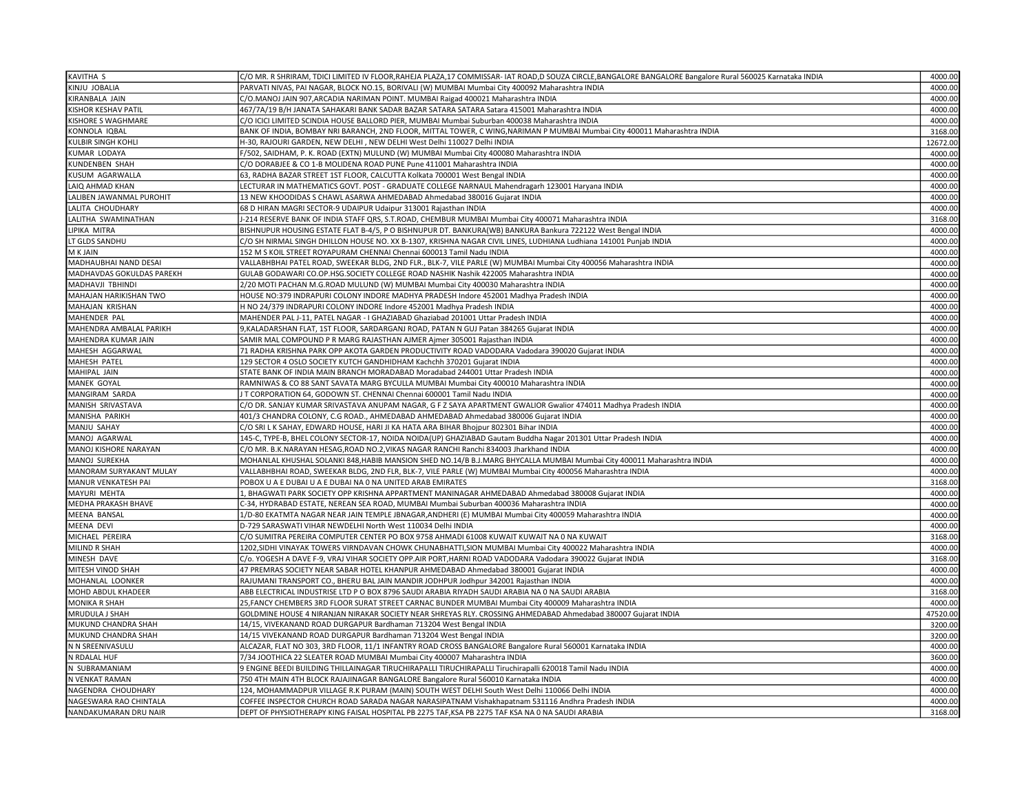| KAVITHA S                           | C/O MR. R SHRIRAM, TDICI LIMITED IV FLOOR,RAHEJA PLAZA,17 COMMISSAR- IAT ROAD,D SOUZA CIRCLE,BANGALORE BANGALORE Bangalore Rural 560025 Karnataka INDIA                                               | 4000.00            |
|-------------------------------------|-------------------------------------------------------------------------------------------------------------------------------------------------------------------------------------------------------|--------------------|
| KINJU JOBALIA                       | PARVATI NIVAS, PAI NAGAR, BLOCK NO.15, BORIVALI (W) MUMBAI Mumbai City 400092 Maharashtra INDIA                                                                                                       | 4000.00            |
| KIRANBALA JAIN                      | C/O.MANOJ JAIN 907,ARCADIA NARIMAN POINT. MUMBAI Raigad 400021 Maharashtra INDIA                                                                                                                      | 4000.00            |
| <b>KISHOR KESHAV PATIL</b>          | 467/7A/19 B/H JANATA SAHAKARI BANK SADAR BAZAR SATARA SATARA Satara 415001 Maharashtra INDIA                                                                                                          | 4000.00            |
| KISHORE S WAGHMARE                  | C/O ICICI LIMITED SCINDIA HOUSE BALLORD PIER, MUMBAI Mumbai Suburban 400038 Maharashtra INDIA                                                                                                         | 4000.00            |
| KONNOLA IQBAL                       | BANK OF INDIA, BOMBAY NRI BARANCH, 2ND FLOOR, MITTAL TOWER, C WING, NARIMAN P MUMBAI Mumbai City 400011 Maharashtra INDIA                                                                             | 3168.00            |
| KULBIR SINGH KOHLI                  | H-30, RAJOURI GARDEN, NEW DELHI, NEW DELHI West Delhi 110027 Delhi INDIA                                                                                                                              | 12672.00           |
| KUMAR LODAYA                        | F/502, SAIDHAM, P. K. ROAD (EXTN) MULUND (W) MUMBAI Mumbai City 400080 Maharashtra INDIA                                                                                                              | 4000.00            |
| KUNDENBEN SHAH                      | C/O DORABJEE & CO 1-B MOLIDENA ROAD PUNE Pune 411001 Maharashtra INDIA                                                                                                                                | 4000.00            |
| KUSUM AGARWALLA                     | 63, RADHA BAZAR STREET 1ST FLOOR, CALCUTTA Kolkata 700001 West Bengal INDIA                                                                                                                           | 4000.00            |
| LAIQ AHMAD KHAN                     | LECTURAR IN MATHEMATICS GOVT. POST - GRADUATE COLLEGE NARNAUL Mahendragarh 123001 Haryana INDIA                                                                                                       | 4000.00            |
| LALIBEN JAWANMAL PUROHIT            | 13 NEW KHOODIDAS S CHAWL ASARWA AHMEDABAD Ahmedabad 380016 Gujarat INDIA                                                                                                                              | 4000.00            |
| LALITA CHOUDHARY                    | 68 D HIRAN MAGRI SECTOR-9 UDAIPUR Udaipur 313001 Rajasthan INDIA                                                                                                                                      | 4000.00            |
| LALITHA SWAMINATHAN                 | J-214 RESERVE BANK OF INDIA STAFF QRS, S.T.ROAD, CHEMBUR MUMBAI Mumbai City 400071 Maharashtra INDIA                                                                                                  | 3168.00            |
| LIPIKA MITRA                        | BISHNUPUR HOUSING ESTATE FLAT B-4/5, P O BISHNUPUR DT. BANKURA(WB) BANKURA Bankura 722122 West Bengal INDIA                                                                                           | 4000.00            |
| LT GLDS SANDHU                      | C/O SH NIRMAL SINGH DHILLON HOUSE NO. XX B-1307, KRISHNA NAGAR CIVIL LINES, LUDHIANA Ludhiana 141001 Punjab INDIA                                                                                     | 4000.00            |
| M K JAIN                            | 152 M S KOIL STREET ROYAPURAM CHENNAI Chennai 600013 Tamil Nadu INDIA                                                                                                                                 | 4000.00            |
| MADHAUBHAI NAND DESAI               | VALLABHBHAI PATEL ROAD, SWEEKAR BLDG, 2ND FLR., BLK-7, VILE PARLE (W) MUMBAI Mumbai City 400056 Maharashtra INDIA                                                                                     | 4000.00            |
| MADHAVDAS GOKULDAS PAREKH           | GULAB GODAWARI CO.OP.HSG.SOCIETY COLLEGE ROAD NASHIK Nashik 422005 Maharashtra INDIA                                                                                                                  | 4000.00            |
| MADHAVJI TBHINDI                    | 2/20 MOTI PACHAN M.G.ROAD MULUND (W) MUMBAI Mumbai City 400030 Maharashtra INDIA                                                                                                                      | 4000.00            |
| MAHAJAN HARIKISHAN TWO              | HOUSE NO:379 INDRAPURI COLONY INDORE MADHYA PRADESH Indore 452001 Madhya Pradesh INDIA                                                                                                                | 4000.00            |
| MAHAJAN KRISHAN                     | H NO 24/379 INDRAPURI COLONY INDORE Indore 452001 Madhya Pradesh INDIA                                                                                                                                | 4000.00            |
| MAHENDER PAL                        | MAHENDER PAL J-11, PATEL NAGAR - I GHAZIABAD Ghaziabad 201001 Uttar Pradesh INDIA                                                                                                                     | 4000.00            |
| MAHENDRA AMBALAL PARIKH             | 9, KALADARSHAN FLAT, 1ST FLOOR, SARDARGANJ ROAD, PATAN N GUJ Patan 384265 Gujarat INDIA                                                                                                               | 4000.00            |
| MAHENDRA KUMAR JAIN                 |                                                                                                                                                                                                       | 4000.00            |
|                                     | SAMIR MAL COMPOUND P R MARG RAJASTHAN AJMER Ajmer 305001 Rajasthan INDIA<br>71 RADHA KRISHNA PARK OPP AKOTA GARDEN PRODUCTIVITY ROAD VADODARA Vadodara 390020 Gujarat INDIA                           | 4000.00            |
| MAHESH AGGARWAL<br>MAHESH PATEL     | 129 SECTOR 4 OSLO SOCIETY KUTCH GANDHIDHAM Kachchh 370201 Gujarat INDIA                                                                                                                               | 4000.00            |
| MAHIPAL JAIN                        | STATE BANK OF INDIA MAIN BRANCH MORADABAD Moradabad 244001 Uttar Pradesh INDIA                                                                                                                        | 4000.00            |
|                                     |                                                                                                                                                                                                       | 4000.00            |
| MANEK GOYAL                         | RAMNIWAS & CO 88 SANT SAVATA MARG BYCULLA MUMBAI Mumbai City 400010 Maharashtra INDIA<br>IT CORPORATION 64, GODOWN ST. CHENNAI Chennai 600001 Tamil Nadu INDIA                                        | 4000.00            |
| MANGIRAM SARDA                      |                                                                                                                                                                                                       | 4000.00            |
| MANISH SRIVASTAVA<br>MANISHA PARIKH | C/O DR. SANJAY KUMAR SRIVASTAVA ANUPAM NAGAR, G F Z SAYA APARTMENT GWALIOR Gwalior 474011 Madhya Pradesh INDIA<br>401/3 CHANDRA COLONY, C.G ROAD., AHMEDABAD AHMEDABAD Ahmedabad 380006 Gujarat INDIA | 4000.00            |
| MANJU SAHAY                         | C/O SRI L K SAHAY, EDWARD HOUSE, HARI JI KA HATA ARA BIHAR Bhojpur 802301 Bihar INDIA                                                                                                                 |                    |
| MANOJ AGARWAL                       | 145-C, TYPE-B, BHEL COLONY SECTOR-17, NOIDA NOIDA(UP) GHAZIABAD Gautam Buddha Nagar 201301 Uttar Pradesh INDIA                                                                                        | 4000.00<br>4000.00 |
| MANOJ KISHORE NARAYAN               | C/O MR. B.K.NARAYAN HESAG,ROAD NO.2,VIKAS NAGAR RANCHI Ranchi 834003 Jharkhand INDIA                                                                                                                  | 4000.00            |
| MANOJ SUREKHA                       | MOHANLAL KHUSHAL SOLANKI 848,HABIB MANSION SHED NO.14/B B.J.MARG BHYCALLA MUMBAI Mumbai City 400011 Maharashtra INDIA                                                                                 | 4000.00            |
| MANORAM SURYAKANT MULAY             | VALLABHBHAI ROAD, SWEEKAR BLDG, 2ND FLR, BLK-7, VILE PARLE (W) MUMBAI Mumbai City 400056 Maharashtra INDIA                                                                                            | 4000.00            |
| MANUR VENKATESH PAI                 | POBOX U A E DUBAI U A E DUBAI NA 0 NA UNITED ARAB EMIRATES                                                                                                                                            |                    |
|                                     |                                                                                                                                                                                                       | 3168.00            |
| MAYURI MEHTA                        | 1, BHAGWATI PARK SOCIETY OPP KRISHNA APPARTMENT MANINAGAR AHMEDABAD Ahmedabad 380008 Gujarat INDIA                                                                                                    | 4000.00            |
| MEDHA PRAKASH BHAVE                 | C-34, HYDRABAD ESTATE, NEREAN SEA ROAD, MUMBAI Mumbai Suburban 400036 Maharashtra INDIA                                                                                                               | 4000.00            |
| <b>MEENA BANSAL</b>                 | 1/D-80 EKATMTA NAGAR NEAR JAIN TEMPLE JBNAGAR, ANDHERI (E) MUMBAI Mumbai City 400059 Maharashtra INDIA                                                                                                | 4000.00            |
| MEENA DEVI                          | D-729 SARASWATI VIHAR NEWDELHI North West 110034 Delhi INDIA                                                                                                                                          | 4000.00            |
| MICHAEL PEREIRA                     | C/O SUMITRA PEREIRA COMPUTER CENTER PO BOX 9758 AHMADI 61008 KUWAIT KUWAIT NA 0 NA KUWAIT                                                                                                             | 3168.00            |
| MILIND R SHAH                       | 1202, SIDHI VINAYAK TOWERS VIRNDAVAN CHOWK CHUNABHATTI, SION MUMBAI Mumbai City 400022 Maharashtra INDIA                                                                                              | 4000.00            |
| MINESH DAVE                         | C/o. YOGESH A DAVE F-9, VRAJ VIHAR SOCIETY OPP.AIR PORT, HARNI ROAD VADODARA Vadodara 390022 Gujarat INDIA                                                                                            | 3168.00            |
| MITESH VINOD SHAH                   | 47 PREMRAS SOCIETY NEAR SABAR HOTEL KHANPUR AHMEDABAD Ahmedabad 380001 Gujarat INDIA                                                                                                                  | 4000.00            |
| MOHANLAL LOONKER                    | RAJUMANI TRANSPORT CO., BHERU BAL JAIN MANDIR JODHPUR Jodhpur 342001 Rajasthan INDIA                                                                                                                  | 4000.00            |
| MOHD ABDUL KHADEER                  | ABB ELECTRICAL INDUSTRISE LTD P O BOX 8796 SAUDI ARABIA RIYADH SAUDI ARABIA NA 0 NA SAUDI ARABIA                                                                                                      | 3168.00            |
| <b>MONIKA R SHAH</b>                | 25, FANCY CHEMBERS 3RD FLOOR SURAT STREET CARNAC BUNDER MUMBAI Mumbai City 400009 Maharashtra INDIA                                                                                                   | 4000.00            |
| MRUDULA J SHAH                      | GOLDMINE HOUSE 4 NIRANJAN NIRAKAR SOCIETY NEAR SHREYAS RLY. CROSSING AHMEDABAD Ahmedabad 380007 Gujarat INDIA                                                                                         | 47520.00           |
| MUKUND CHANDRA SHAH                 | 14/15, VIVEKANAND ROAD DURGAPUR Bardhaman 713204 West Bengal INDIA                                                                                                                                    | 3200.00            |
| MUKUND CHANDRA SHAH                 | 14/15 VIVEKANAND ROAD DURGAPUR Bardhaman 713204 West Bengal INDIA                                                                                                                                     | 3200.00            |
| N N SREENIVASULU                    | ALCAZAR, FLAT NO 303, 3RD FLOOR, 11/1 INFANTRY ROAD CROSS BANGALORE Bangalore Rural 560001 Karnataka INDIA                                                                                            | 4000.00            |
| N RDALAL HUF                        | 7/34 JOOTHICA 22 SLEATER ROAD MUMBAI Mumbai City 400007 Maharashtra INDIA                                                                                                                             | 3600.00            |
| N SUBRAMANIAM                       | 9 ENGINE BEEDI BUILDING THILLAINAGAR TIRUCHIRAPALLI TIRUCHIRAPALLI Tiruchirapalli 620018 Tamil Nadu INDIA                                                                                             | 4000.00            |
| N VENKAT RAMAN                      | 750 4TH MAIN 4TH BLOCK RAJAJINAGAR BANGALORE Bangalore Rural 560010 Karnataka INDIA                                                                                                                   | 4000.00            |
| NAGENDRA CHOUDHARY                  | 124, MOHAMMADPUR VILLAGE R.K PURAM (MAIN) SOUTH WEST DELHI South West Delhi 110066 Delhi INDIA                                                                                                        | 4000.00            |
| NAGESWARA RAO CHINTALA              | COFFEE INSPECTOR CHURCH ROAD SARADA NAGAR NARASIPATNAM Vishakhapatnam 531116 Andhra Pradesh INDIA                                                                                                     | 4000.00            |
| NANDAKUMARAN DRU NAIR               | DEPT OF PHYSIOTHERAPY KING FAISAL HOSPITAL PB 2275 TAF, KSA PB 2275 TAF KSA NA 0 NA SAUDI ARABIA                                                                                                      | 3168.00            |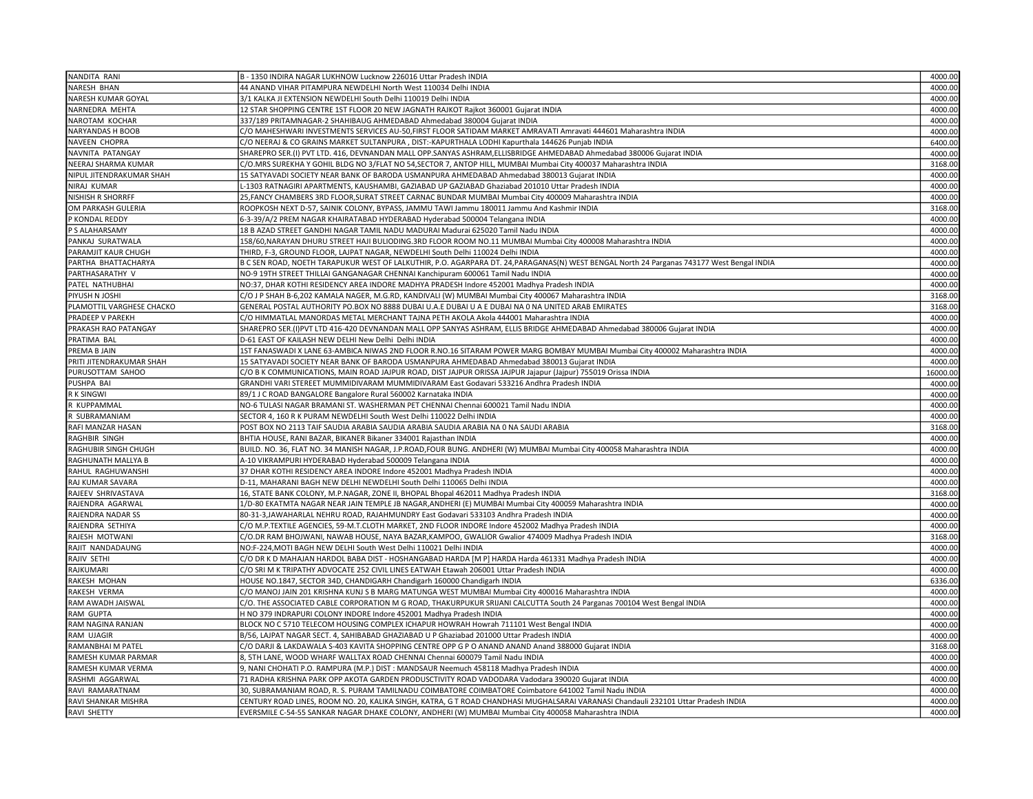| NANDITA RANI              | B - 1350 INDIRA NAGAR LUKHNOW Lucknow 226016 Uttar Pradesh INDIA                                                                           | 4000.00  |
|---------------------------|--------------------------------------------------------------------------------------------------------------------------------------------|----------|
| NARESH BHAN               | 44 ANAND VIHAR PITAMPURA NEWDELHI North West 110034 Delhi INDIA                                                                            | 4000.00  |
| NARESH KUMAR GOYAL        | 3/1 KALKA JI EXTENSION NEWDELHI South Delhi 110019 Delhi INDIA                                                                             | 4000.00  |
| NARNEDRA MEHTA            | 12 STAR SHOPPING CENTRE 1ST FLOOR 20 NEW JAGNATH RAJKOT Rajkot 360001 Gujarat INDIA                                                        | 4000.00  |
| NAROTAM KOCHAR            | 337/189 PRITAMNAGAR-2 SHAHIBAUG AHMEDABAD Ahmedabad 380004 Gujarat INDIA                                                                   | 4000.00  |
| <b>NARYANDAS H BOOB</b>   | C/O MAHESHWARI INVESTMENTS SERVICES AU-50,FIRST FLOOR SATIDAM MARKET AMRAVATI Amravati 444601 Maharashtra INDIA                            | 4000.00  |
| NAVEEN CHOPRA             | C/O NEERAJ & CO GRAINS MARKET SULTANPURA , DIST:-KAPURTHALA LODHI Kapurthala 144626 Punjab INDIA                                           | 6400.00  |
| NAVNITA PATANGAY          | SHAREPRO SER.(I) PVT LTD. 416, DEVNANDAN MALL OPP.SANYAS ASHRAM,ELLISBRIDGE AHMEDABAD Ahmedabad 380006 Gujarat INDIA                       | 4000.00  |
| NEERAJ SHARMA KUMAR       | C/O.MRS SUREKHA Y GOHIL BLDG NO 3/FLAT NO 54,SECTOR 7, ANTOP HILL, MUMBAI Mumbai City 400037 Maharashtra INDIA                             | 3168.00  |
| NIPUL JITENDRAKUMAR SHAH  | 15 SATYAVADI SOCIETY NEAR BANK OF BARODA USMANPURA AHMEDABAD Ahmedabad 380013 Gujarat INDIA                                                | 4000.00  |
| NIRAJ KUMAR               | -1303 RATNAGIRI APARTMENTS, KAUSHAMBI, GAZIABAD UP GAZIABAD Ghaziabad 201010 Uttar Pradesh INDIA                                           | 4000.00  |
| <b>NISHISH R SHORRFF</b>  | 25,FANCY CHAMBERS 3RD FLOOR,SURAT STREET CARNAC BUNDAR MUMBAI Mumbai City 400009 Maharashtra INDIA                                         | 4000.00  |
| OM PARKASH GULERIA        | ROOPKOSH NEXT D-57, SAINIK COLONY, BYPASS, JAMMU TAWI Jammu 180011 Jammu And Kashmir INDIA                                                 | 3168.00  |
| P KONDAL REDDY            | 6-3-39/A/2 PREM NAGAR KHAIRATABAD HYDERABAD Hyderabad 500004 Telangana INDIA                                                               | 4000.00  |
| P S ALAHARSAMY            | 18 B AZAD STREET GANDHI NAGAR TAMIL NADU MADURAI Madurai 625020 Tamil Nadu INDIA                                                           | 4000.00  |
| PANKAJ SURATWALA          | 158/60,NARAYAN DHURU STREET HAJI BULIODING.3RD FLOOR ROOM NO.11 MUMBAI Mumbai City 400008 Maharashtra INDIA                                | 4000.00  |
| PARAMJIT KAUR CHUGH       | THIRD, F-3, GROUND FLOOR, LAJPAT NAGAR, NEWDELHI South Delhi 110024 Delhi INDIA                                                            | 4000.00  |
| PARTHA BHATTACHARYA       | B C SEN ROAD, NOETH TARAPUKUR WEST OF LALKUTHIR, P.O. AGARPARA DT. 24, PARAGANAS(N) WEST BENGAL North 24 Parganas 743177 West Bengal INDIA | 4000.00  |
|                           |                                                                                                                                            | 4000.00  |
| PARTHASARATHY V           | NO-9 19TH STREET THILLAI GANGANAGAR CHENNAI Kanchipuram 600061 Tamil Nadu INDIA                                                            |          |
| PATEL NATHUBHAI           | NO:37, DHAR KOTHI RESIDENCY AREA INDORE MADHYA PRADESH Indore 452001 Madhya Pradesh INDIA                                                  | 4000.00  |
| PIYUSH N JOSHI            | C/O J P SHAH B-6,202 KAMALA NAGER, M.G.RD, KANDIVALI (W) MUMBAI Mumbai City 400067 Maharashtra INDIA                                       | 3168.00  |
| PLAMOTTIL VARGHESE CHACKO | GENERAL POSTAL AUTHORITY PO.BOX NO 8888 DUBAI U.A.E DUBAI U A E DUBAI NA 0 NA UNITED ARAB EMIRATES                                         | 3168.00  |
| PRADEEP V PAREKH          | C/O HIMMATLAL MANORDAS METAL MERCHANT TAJNA PETH AKOLA Akola 444001 Maharashtra INDIA                                                      | 4000.00  |
| PRAKASH RAO PATANGAY      | SHAREPRO SER.(I)PVT LTD 416-420 DEVNANDAN MALL OPP SANYAS ASHRAM, ELLIS BRIDGE AHMEDABAD Ahmedabad 380006 Gujarat INDIA                    | 4000.00  |
| PRATIMA BAL               | D-61 EAST OF KAILASH NEW DELHI New Delhi Delhi INDIA                                                                                       | 4000.00  |
| PREMA B JAIN              | 1ST FANASWADI X LANE 63-AMBICA NIWAS 2ND FLOOR R.NO.16 SITARAM POWER MARG BOMBAY MUMBAI Mumbai City 400002 Maharashtra INDIA               | 4000.00  |
| PRITI JITENDRAKUMAR SHAH  | 15 SATYAVADI SOCIETY NEAR BANK OF BARODA USMANPURA AHMEDABAD Ahmedabad 380013 Gujarat INDIA                                                | 4000.00  |
| PURUSOTTAM SAHOO          | C/O B K COMMUNICATIONS, MAIN ROAD JAJPUR ROAD, DIST JAJPUR ORISSA JAJPUR Jajapur (Jajpur) 755019 Orissa INDIA                              | 16000.00 |
| PUSHPA BAI                | GRANDHI VARI STEREET MUMMIDIVARAM MUMMIDIVARAM East Godavari 533216 Andhra Pradesh INDIA                                                   | 4000.00  |
| R K SINGWI                | 89/1 J C ROAD BANGALORE Bangalore Rural 560002 Karnataka INDIA                                                                             | 4000.00  |
| R KUPPAMMAL               | NO-6 TULASI NAGAR BRAMANI ST. WASHERMAN PET CHENNAI Chennai 600021 Tamil Nadu INDIA                                                        | 4000.00  |
| SUBRAMANIAM               | SECTOR 4, 160 R K PURAM NEWDELHI South West Delhi 110022 Delhi INDIA                                                                       | 4000.00  |
| RAFI MANZAR HASAN         | POST BOX NO 2113 TAIF SAUDIA ARABIA SAUDIA ARABIA SAUDIA ARABIA NA 0 NA SAUDI ARABIA                                                       | 3168.00  |
| RAGHBIR SINGH             | BHTIA HOUSE, RANI BAZAR, BIKANER Bikaner 334001 Rajasthan INDIA                                                                            | 4000.00  |
| RAGHUBIR SINGH CHUGH      | BUILD. NO. 36, FLAT NO. 34 MANISH NAGAR, J.P.ROAD,FOUR BUNG. ANDHERI (W) MUMBAI Mumbai City 400058 Maharashtra INDIA                       | 4000.00  |
| RAGHUNATH MALLYA B        | A-10 VIKRAMPURI HYDERABAD Hyderabad 500009 Telangana INDIA                                                                                 | 4000.00  |
| RAHUL RAGHUWANSH          | 37 DHAR KOTHI RESIDENCY AREA INDORE Indore 452001 Madhya Pradesh INDIA                                                                     | 4000.00  |
| RAJ KUMAR SAVARA          | D-11, MAHARANI BAGH NEW DELHI NEWDELHI South Delhi 110065 Delhi INDIA                                                                      | 4000.00  |
| RAJEEV SHRIVASTAVA        | 16, STATE BANK COLONY, M.P.NAGAR, ZONE II, BHOPAL Bhopal 462011 Madhya Pradesh INDIA                                                       | 3168.00  |
| RAJENDRA AGARWAL          | 1/D-80 EKATMTA NAGAR NEAR JAIN TEMPLE JB NAGAR,ANDHERI (E) MUMBAI Mumbai City 400059 Maharashtra INDIA                                     | 4000.00  |
| RAJENDRA NADAR SS         | 80-31-3,JAWAHARLAL NEHRU ROAD, RAJAHMUNDRY East Godavari 533103 Andhra Pradesh INDIA                                                       | 4000.00  |
| RAJENDRA SETHIYA          | C/O M.P.TEXTILE AGENCIES, 59-M.T.CLOTH MARKET, 2ND FLOOR INDORE Indore 452002 Madhya Pradesh INDIA                                         | 4000.00  |
| RAJESH MOTWANI            | C/O.DR RAM BHOJWANI, NAWAB HOUSE, NAYA BAZAR,KAMPOO, GWALIOR Gwalior 474009 Madhya Pradesh INDIA                                           | 3168.00  |
| RAJIT NANDADAUNG          | NO:F-224, MOTI BAGH NEW DELHI South West Delhi 110021 Delhi INDIA                                                                          | 4000.00  |
| RAJIV SETHI               | C/O DR K D MAHAJAN HARDOL BABA DIST - HOSHANGABAD HARDA [M P] HARDA Harda 461331 Madhya Pradesh INDIA                                      | 4000.00  |
| RAJKUMARI                 | C/O SRI M K TRIPATHY ADVOCATE 252 CIVIL LINES EATWAH Etawah 206001 Uttar Pradesh INDIA                                                     | 4000.00  |
| RAKESH MOHAN              | HOUSE NO.1847, SECTOR 34D, CHANDIGARH Chandigarh 160000 Chandigarh INDIA                                                                   | 6336.00  |
| RAKESH VERMA              | C/O MANOJ JAIN 201 KRISHNA KUNJ S B MARG MATUNGA WEST MUMBAI Mumbai City 400016 Maharashtra INDIA                                          | 4000.00  |
| RAM AWADH JAISWAL         | C/O. THE ASSOCIATED CABLE CORPORATION M G ROAD, THAKURPUKUR SRIJANI CALCUTTA South 24 Parganas 700104 West Bengal INDIA                    | 4000.00  |
| <b>RAM GUPTA</b>          | H NO 379 INDRAPURI COLONY INDORE Indore 452001 Madhya Pradesh INDIA                                                                        | 4000.00  |
| RAM NAGINA RANJAN         | BLOCK NO C 5710 TELECOM HOUSING COMPLEX ICHAPUR HOWRAH Howrah 711101 West Bengal INDIA                                                     | 4000.00  |
| RAM UJAGIR                | B/56, LAJPAT NAGAR SECT. 4, SAHIBABAD GHAZIABAD U P Ghaziabad 201000 Uttar Pradesh INDIA                                                   | 4000.00  |
| RAMANBHAI M PATEL         | C/O DARJI & LAKDAWALA S-403 KAVITA SHOPPING CENTRE OPP G P O ANAND ANAND Anand 388000 Gujarat INDIA                                        | 3168.00  |
| RAMESH KUMAR PARMAR       | 3, 5TH LANE, WOOD WHARF WALLTAX ROAD CHENNAI Chennai 600079 Tamil Nadu INDIA                                                               | 4000.00  |
| RAMESH KUMAR VERMA        | 9, NANI CHOHATI P.O. RAMPURA (M.P.) DIST : MANDSAUR Neemuch 458118 Madhya Pradesh INDIA                                                    | 4000.00  |
| RASHMI AGGARWAL           | 71 RADHA KRISHNA PARK OPP AKOTA GARDEN PRODUSCTIVITY ROAD VADODARA Vadodara 390020 Gujarat INDIA                                           | 4000.00  |
| RAVI RAMARATNAM           | 30, SUBRAMANIAM ROAD, R. S. PURAM TAMILNADU COIMBATORE COIMBATORE Coimbatore 641002 Tamil Nadu INDIA                                       | 4000.00  |
| RAVI SHANKAR MISHRA       | CENTURY ROAD LINES, ROOM NO. 20, KALIKA SINGH, KATRA, G T ROAD CHANDHASI MUGHALSARAI VARANASI Chandauli 232101 Uttar Pradesh INDIA         | 4000.00  |
| RAVI SHETTY               | EVERSMILE C-54-55 SANKAR NAGAR DHAKE COLONY, ANDHERI (W) MUMBAI Mumbai City 400058 Maharashtra INDIA                                       | 4000.00  |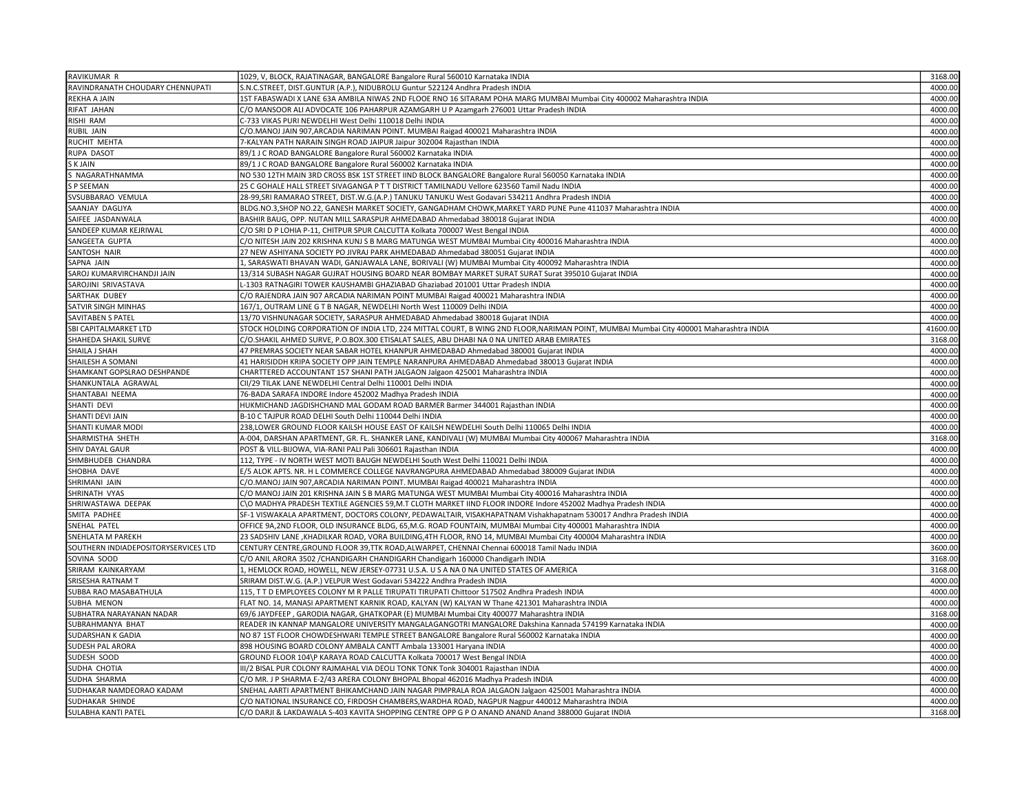| RAVIKUMAR R                          | 1029, V, BLOCK, RAJATINAGAR, BANGALORE Bangalore Rural 560010 Karnataka INDIA                                                          | 3168.00  |
|--------------------------------------|----------------------------------------------------------------------------------------------------------------------------------------|----------|
| RAVINDRANATH CHOUDARY CHENNUPATI     | S.N.C.STREET, DIST.GUNTUR (A.P.), NIDUBROLU Guntur 522124 Andhra Pradesh INDIA                                                         | 4000.00  |
| REKHA A JAIN                         | 1ST FABASWADI X LANE 63A AMBILA NIWAS 2ND FLOOE RNO 16 SITARAM POHA MARG MUMBAI Mumbai City 400002 Maharashtra INDIA                   | 4000.00  |
| RIFAT JAHAN                          | C/O MANSOOR ALI ADVOCATE 106 PAHARPUR AZAMGARH U P Azamgarh 276001 Uttar Pradesh INDIA                                                 | 4000.00  |
| RISHI RAM                            | C-733 VIKAS PURI NEWDELHI West Delhi 110018 Delhi INDIA                                                                                | 4000.00  |
| RUBIL JAIN                           | C/O.MANOJ JAIN 907, ARCADIA NARIMAN POINT. MUMBAI Raigad 400021 Maharashtra INDIA                                                      | 4000.00  |
| RUCHIT MEHTA                         | 7-KALYAN PATH NARAIN SINGH ROAD JAIPUR Jaipur 302004 Rajasthan INDIA                                                                   | 4000.00  |
| RUPA DASOT                           | 89/1 J C ROAD BANGALORE Bangalore Rural 560002 Karnataka INDIA                                                                         | 4000.00  |
| S K JAIN                             | 89/1 J C ROAD BANGALORE Bangalore Rural 560002 Karnataka INDIA                                                                         | 4000.00  |
| S NAGARATHNAMMA                      | NO 530 12TH MAIN 3RD CROSS BSK 1ST STREET IIND BLOCK BANGALORE Bangalore Rural 560050 Karnataka INDIA                                  | 4000.00  |
| S P SEEMAN                           | 25 C GOHALE HALL STREET SIVAGANGA P T T DISTRICT TAMILNADU Vellore 623560 Tamil Nadu INDIA                                             | 4000.00  |
| SVSUBBARAO VEMULA                    | 28-99, SRI RAMARAO STREET, DIST.W.G. (A.P.) TANUKU TANUKU West Godavari 534211 Andhra Pradesh INDIA                                    | 4000.00  |
| SAANJAY DAGLIYA                      | BLDG.NO.3,SHOP NO.22, GANESH MARKET SOCIETY, GANGADHAM CHOWK, MARKET YARD PUNE Pune 411037 Maharashtra INDIA                           | 4000.00  |
| SAIFEE JASDANWALA                    | BASHIR BAUG, OPP. NUTAN MILL SARASPUR AHMEDABAD Ahmedabad 380018 Gujarat INDIA                                                         | 4000.00  |
| SANDEEP KUMAR KEJRIWAL               | C/O SRI D P LOHIA P-11, CHITPUR SPUR CALCUTTA Kolkata 700007 West Bengal INDIA                                                         | 4000.00  |
| SANGEETA GUPTA                       | C/O NITESH JAIN 202 KRISHNA KUNJ S B MARG MATUNGA WEST MUMBAI Mumbai City 400016 Maharashtra INDIA                                     | 4000.00  |
| SANTOSH NAIR                         | 27 NEW ASHIYANA SOCIETY PO JIVRAJ PARK AHMEDABAD Ahmedabad 380051 Gujarat INDIA                                                        | 4000.00  |
| SAPNA JAIN                           | 1, SARASWATI BHAVAN WADI, GANJAWALA LANE, BORIVALI (W) MUMBAI Mumbai City 400092 Maharashtra INDIA                                     | 4000.00  |
| SAROJ KUMARVIRCHANDJI JAIN           | 13/314 SUBASH NAGAR GUJRAT HOUSING BOARD NEAR BOMBAY MARKET SURAT SURAT Surat 395010 Gujarat INDIA                                     | 4000.00  |
| SAROJINI SRIVASTAVA                  | L-1303 RATNAGIRI TOWER KAUSHAMBI GHAZIABAD Ghaziabad 201001 Uttar Pradesh INDIA                                                        | 4000.00  |
| SARTHAK DUBEY                        | C/O RAJENDRA JAIN 907 ARCADIA NARIMAN POINT MUMBAI Raigad 400021 Maharashtra INDIA                                                     | 4000.00  |
| SATVIR SINGH MINHAS                  | 167/1, OUTRAM LINE G T B NAGAR, NEWDELHI North West 110009 Delhi INDIA                                                                 | 4000.00  |
| SAVITABEN S PATEL                    | 13/70 VISHNUNAGAR SOCIETY, SARASPUR AHMEDABAD Ahmedabad 380018 Gujarat INDIA                                                           | 4000.00  |
| SBI CAPITALMARKET LTD                |                                                                                                                                        | 41600.00 |
| SHAHEDA SHAKIL SURVE                 | STOCK HOLDING CORPORATION OF INDIA LTD, 224 MITTAL COURT, B WING 2ND FLOOR, NARIMAN POINT, MUMBAI Mumbai City 400001 Maharashtra INDIA | 3168.00  |
|                                      | C/O.SHAKIL AHMED SURVE, P.O.BOX.300 ETISALAT SALES, ABU DHABI NA 0 NA UNITED ARAB EMIRATES                                             | 4000.00  |
| SHAILA J SHAH                        | 47 PREMRAS SOCIETY NEAR SABAR HOTEL KHANPUR AHMEDABAD Ahmedabad 380001 Gujarat INDIA                                                   | 4000.00  |
| SHAILESH A SOMANI                    | 41 HARISIDDH KRIPA SOCIETY OPP JAIN TEMPLE NARANPURA AHMEDABAD Ahmedabad 380013 Gujarat INDIA                                          |          |
| SHAMKANT GOPSLRAO DESHPANDE          | CHARTTERED ACCOUNTANT 157 SHANI PATH JALGAON Jalgaon 425001 Maharashtra INDIA                                                          | 4000.00  |
| SHANKUNTALA AGRAWAL                  | CII/29 TILAK LANE NEWDELHI Central Delhi 110001 Delhi INDIA                                                                            | 4000.00  |
| SHANTABAI NEEMA                      | 76-BADA SARAFA INDORE Indore 452002 Madhya Pradesh INDIA                                                                               | 4000.00  |
| SHANTI DEVI                          | HUKMICHAND JAGDISHCHAND MAL GODAM ROAD BARMER Barmer 344001 Rajasthan INDIA                                                            | 4000.00  |
| SHANTI DEVI JAIN                     | B-10 C TAJPUR ROAD DELHI South Delhi 110044 Delhi INDIA                                                                                | 4000.00  |
| SHANTI KUMAR MODI                    | 238, LOWER GROUND FLOOR KAILSH HOUSE EAST OF KAILSH NEWDELHI South Delhi 110065 Delhi INDIA                                            | 4000.00  |
| SHARMISTHA SHETH                     | A-004, DARSHAN APARTMENT, GR. FL. SHANKER LANE, KANDIVALI (W) MUMBAI Mumbai City 400067 Maharashtra INDIA                              | 3168.00  |
| SHIV DAYAL GAUR                      | POST & VILL-BIJOWA, VIA-RANI PALI Pali 306601 Rajasthan INDIA                                                                          | 4000.00  |
| SHMBHUDEB CHANDRA                    | 112, TYPE - IV NORTH WEST MOTI BAUGH NEWDELHI South West Delhi 110021 Delhi INDIA                                                      | 4000.00  |
| SHOBHA DAVE                          | E/5 ALOK APTS. NR. H L COMMERCE COLLEGE NAVRANGPURA AHMEDABAD Ahmedabad 380009 Gujarat INDIA                                           | 4000.00  |
| SHRIMANI JAIN                        | C/O.MANOJ JAIN 907, ARCADIA NARIMAN POINT. MUMBAI Raigad 400021 Maharashtra INDIA                                                      | 4000.00  |
| SHRINATH VYAS                        | C/O MANOJ JAIN 201 KRISHNA JAIN S B MARG MATUNGA WEST MUMBAI Mumbai City 400016 Maharashtra INDIA                                      | 4000.00  |
| SHRIWASTAWA DEEPAK                   | C\O MADHYA PRADESH TEXTILE AGENCIES 59, M.T CLOTH MARKET IIND FLOOR INDORE Indore 452002 Madhya Pradesh INDIA                          | 4000.00  |
| SMITA PADHEE                         | SF-1 VISWAKALA APARTMENT, DOCTORS COLONY, PEDAWALTAIR, VISAKHAPATNAM Vishakhapatnam 530017 Andhra Pradesh INDIA                        | 4000.00  |
| SNEHAL PATEL                         | OFFICE 9A,2ND FLOOR, OLD INSURANCE BLDG, 65, M.G. ROAD FOUNTAIN, MUMBAI Mumbai City 400001 Maharashtra INDIA                           | 4000.00  |
| SNEHLATA M PAREKH                    | 23 SADSHIV LANE , KHADILKAR ROAD, VORA BUILDING,4TH FLOOR, RNO 14, MUMBAI Mumbai City 400004 Maharashtra INDIA                         | 4000.00  |
| SOUTHERN INDIADEPOSITORYSERVICES LTD | CENTURY CENTRE, GROUND FLOOR 39, TTK ROAD, ALWARPET, CHENNAI Chennai 600018 Tamil Nadu INDIA                                           | 3600.00  |
| SOVINA SOOD                          | C/O ANIL ARORA 3502 / CHANDIGARH CHANDIGARH Chandigarh 160000 Chandigarh INDIA                                                         | 3168.00  |
| SRIRAM KAINKARYAM                    | 1, HEMLOCK ROAD, HOWELL, NEW JERSEY-07731 U.S.A. U S A NA 0 NA UNITED STATES OF AMERICA                                                | 3168.00  |
| SRISESHA RATNAM T                    | SRIRAM DIST.W.G. (A.P.) VELPUR West Godavari 534222 Andhra Pradesh INDIA                                                               | 4000.00  |
| SUBBA RAO MASABATHULA                | 115, T T D EMPLOYEES COLONY M R PALLE TIRUPATI TIRUPATI Chittoor 517502 Andhra Pradesh INDIA                                           | 4000.00  |
| SUBHA MENON                          | FLAT NO. 14, MANASI APARTMENT KARNIK ROAD, KALYAN (W) KALYAN W Thane 421301 Maharashtra INDIA                                          | 4000.00  |
| SUBHATRA NARAYANAN NADAR             | 69/6 JAYDFEEP, GARODIA NAGAR, GHATKOPAR (E) MUMBAI Mumbai City 400077 Maharashtra INDIA                                                | 3168.00  |
| SUBRAHMANYA BHAT                     | READER IN KANNAP MANGALORE UNIVERSITY MANGALAGANGOTRI MANGALORE Dakshina Kannada 574199 Karnataka INDIA                                | 4000.00  |
| SUDARSHAN K GADIA                    | NO 87 1ST FLOOR CHOWDESHWARI TEMPLE STREET BANGALORE Bangalore Rural 560002 Karnataka INDIA                                            | 4000.00  |
| SUDESH PAL ARORA                     | 898 HOUSING BOARD COLONY AMBALA CANTT Ambala 133001 Haryana INDIA                                                                      | 4000.00  |
| SUDESH SOOD                          | GROUND FLOOR 104\P KARAYA ROAD CALCUTTA Kolkata 700017 West Bengal INDIA                                                               | 4000.00  |
| SUDHA CHOTIA                         | III/2 BISAL PUR COLONY RAJMAHAL VIA DEOLI TONK TONK Tonk 304001 Rajasthan INDIA                                                        | 4000.00  |
| SUDHA SHARMA                         | C/O MR. J P SHARMA E-2/43 ARERA COLONY BHOPAL Bhopal 462016 Madhya Pradesh INDIA                                                       | 4000.00  |
| SUDHAKAR NAMDEORAO KADAM             | SNEHAL AARTI APARTMENT BHIKAMCHAND JAIN NAGAR PIMPRALA ROA JALGAON Jalgaon 425001 Maharashtra INDIA                                    | 4000.00  |
| SUDHAKAR SHINDE                      | C/O NATIONAL INSURANCE CO, FIRDOSH CHAMBERS, WARDHA ROAD, NAGPUR Nagpur 440012 Maharashtra INDIA                                       | 4000.00  |
| <b>SULABHA KANTI PATEL</b>           | C/O DARJI & LAKDAWALA S-403 KAVITA SHOPPING CENTRE OPP G P O ANAND ANAND Anand 388000 Gujarat INDIA                                    | 3168.00  |